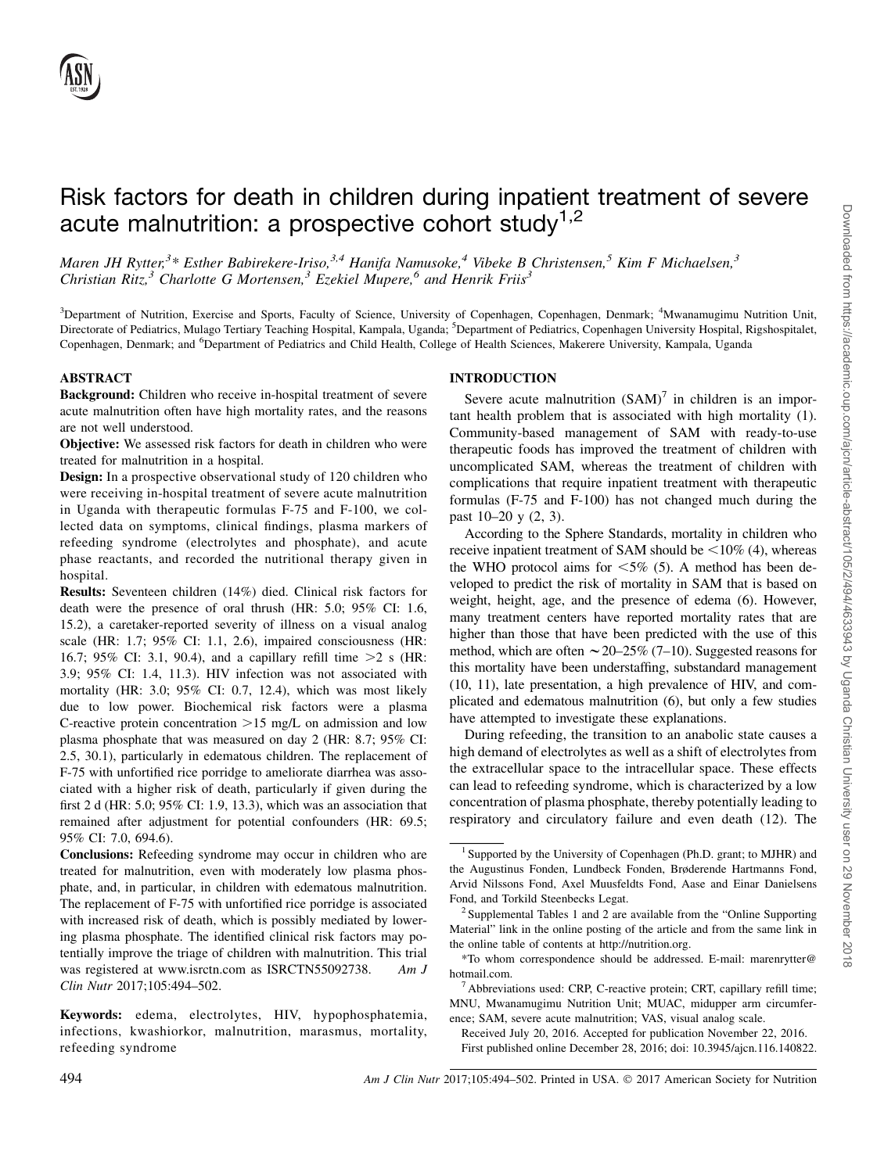# Risk factors for death in children during inpatient treatment of severe acute malnutrition: a prospective cohort study $1,2$

Maren JH Rytter,<sup>3</sup>\* Esther Babirekere-Iriso,<sup>3,4</sup> Hanifa Namusoke,<sup>4</sup> Vibeke B Christensen,<sup>5</sup> Kim F Michaelsen,<sup>3</sup> Christian Ritz,<sup>3</sup> Charlotte G Mortensen,<sup>3</sup> Ezekiel Mupere,<sup>6</sup> and Henrik Frits<sup>3</sup>

<sup>3</sup>Department of Nutrition, Exercise and Sports, Faculty of Science, University of Copenhagen, Copenhagen, Denmark; <sup>4</sup>Mwanamugimu Nutrition Unit, Directorate of Pediatrics, Mulago Tertiary Teaching Hospital, Kampala, Uganda; <sup>5</sup>Department of Pediatrics, Copenhagen University Hospital, Rigshospitalet, Copenhagen, Denmark; and <sup>6</sup>Department of Pediatrics and Child Health, College of Health Sciences, Makerere University, Kampala, Uganda

# ABSTRACT

Background: Children who receive in-hospital treatment of severe acute malnutrition often have high mortality rates, and the reasons are not well understood.

Objective: We assessed risk factors for death in children who were treated for malnutrition in a hospital.

Design: In a prospective observational study of 120 children who were receiving in-hospital treatment of severe acute malnutrition in Uganda with therapeutic formulas F-75 and F-100, we collected data on symptoms, clinical findings, plasma markers of refeeding syndrome (electrolytes and phosphate), and acute phase reactants, and recorded the nutritional therapy given in hospital.

Results: Seventeen children (14%) died. Clinical risk factors for death were the presence of oral thrush (HR: 5.0; 95% CI: 1.6, 15.2), a caretaker-reported severity of illness on a visual analog scale (HR: 1.7; 95% CI: 1.1, 2.6), impaired consciousness (HR: 16.7; 95% CI: 3.1, 90.4), and a capillary refill time  $>2$  s (HR: 3.9; 95% CI: 1.4, 11.3). HIV infection was not associated with mortality (HR: 3.0; 95% CI: 0.7, 12.4), which was most likely due to low power. Biochemical risk factors were a plasma C-reactive protein concentration  $>15$  mg/L on admission and low plasma phosphate that was measured on day 2 (HR: 8.7; 95% CI: 2.5, 30.1), particularly in edematous children. The replacement of F-75 with unfortified rice porridge to ameliorate diarrhea was associated with a higher risk of death, particularly if given during the first 2 d (HR: 5.0; 95% CI: 1.9, 13.3), which was an association that remained after adjustment for potential confounders (HR: 69.5; 95% CI: 7.0, 694.6).

Conclusions: Refeeding syndrome may occur in children who are treated for malnutrition, even with moderately low plasma phosphate, and, in particular, in children with edematous malnutrition. The replacement of F-75 with unfortified rice porridge is associated with increased risk of death, which is possibly mediated by lowering plasma phosphate. The identified clinical risk factors may potentially improve the triage of children with malnutrition. This trial was registered at www.isrctn.com as ISRCTN55092738. Am J Clin Nutr 2017;105:494–502.

Keywords: edema, electrolytes, HIV, hypophosphatemia, infections, kwashiorkor, malnutrition, marasmus, mortality, refeeding syndrome

## INTRODUCTION

Severe acute malnutrition  $(SAM)^7$  in children is an important health problem that is associated with high mortality (1). Community-based management of SAM with ready-to-use therapeutic foods has improved the treatment of children with uncomplicated SAM, whereas the treatment of children with complications that require inpatient treatment with therapeutic formulas (F-75 and F-100) has not changed much during the past 10–20 y (2, 3).

According to the Sphere Standards, mortality in children who receive inpatient treatment of SAM should be  $\leq 10\%$  (4), whereas the WHO protocol aims for  $\leq 5\%$  (5). A method has been developed to predict the risk of mortality in SAM that is based on weight, height, age, and the presence of edema (6). However, many treatment centers have reported mortality rates that are higher than those that have been predicted with the use of this method, which are often  $\sim$  20–25% (7–10). Suggested reasons for this mortality have been understaffing, substandard management (10, 11), late presentation, a high prevalence of HIV, and complicated and edematous malnutrition (6), but only a few studies have attempted to investigate these explanations.

During refeeding, the transition to an anabolic state causes a high demand of electrolytes as well as a shift of electrolytes from the extracellular space to the intracellular space. These effects can lead to refeeding syndrome, which is characterized by a low concentration of plasma phosphate, thereby potentially leading to respiratory and circulatory failure and even death (12). The

Received July 20, 2016. Accepted for publication November 22, 2016. First published online December 28, 2016; doi: 10.3945/ajcn.116.140822.

 $1$  Supported by the University of Copenhagen (Ph.D. grant; to MJHR) and the Augustinus Fonden, Lundbeck Fonden, Brøderende Hartmanns Fond, Arvid Nilssons Fond, Axel Muusfeldts Fond, Aase and Einar Danielsens Fond, and Torkild Steenbecks Legat.<br><sup>2</sup> Supplemental Tables 1 and 2 are available from the "Online Supporting"

Material" link in the online posting of the article and from the same link in the online table of contents at http://nutrition.org.

<sup>\*</sup>To whom correspondence should be addressed. E-mail: marenrytter@ hotmail.com.

 $<sup>7</sup>$  Abbreviations used: CRP, C-reactive protein; CRT, capillary refill time;</sup> MNU, Mwanamugimu Nutrition Unit; MUAC, midupper arm circumference; SAM, severe acute malnutrition; VAS, visual analog scale.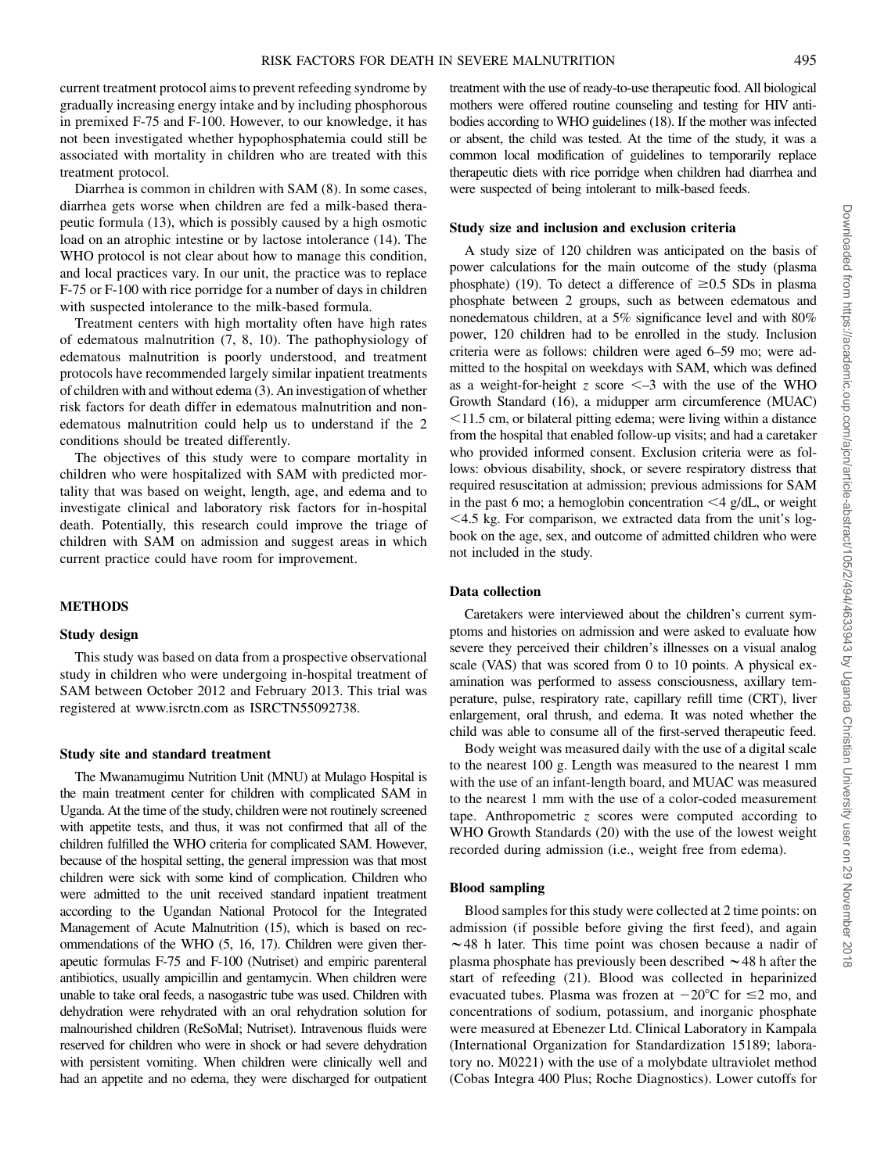current treatment protocol aims to prevent refeeding syndrome by gradually increasing energy intake and by including phosphorous in premixed F-75 and F-100. However, to our knowledge, it has not been investigated whether hypophosphatemia could still be associated with mortality in children who are treated with this treatment protocol.

Diarrhea is common in children with SAM (8). In some cases, diarrhea gets worse when children are fed a milk-based therapeutic formula (13), which is possibly caused by a high osmotic load on an atrophic intestine or by lactose intolerance (14). The WHO protocol is not clear about how to manage this condition, and local practices vary. In our unit, the practice was to replace F-75 or F-100 with rice porridge for a number of days in children with suspected intolerance to the milk-based formula.

Treatment centers with high mortality often have high rates of edematous malnutrition (7, 8, 10). The pathophysiology of edematous malnutrition is poorly understood, and treatment protocols have recommended largely similar inpatient treatments of children with and without edema (3). An investigation of whether risk factors for death differ in edematous malnutrition and nonedematous malnutrition could help us to understand if the 2 conditions should be treated differently.

The objectives of this study were to compare mortality in children who were hospitalized with SAM with predicted mortality that was based on weight, length, age, and edema and to investigate clinical and laboratory risk factors for in-hospital death. Potentially, this research could improve the triage of children with SAM on admission and suggest areas in which current practice could have room for improvement.

#### METHODS

## Study design

This study was based on data from a prospective observational study in children who were undergoing in-hospital treatment of SAM between October 2012 and February 2013. This trial was registered at www.isrctn.com as ISRCTN55092738.

#### Study site and standard treatment

The Mwanamugimu Nutrition Unit (MNU) at Mulago Hospital is the main treatment center for children with complicated SAM in Uganda. At the time of the study, children were not routinely screened with appetite tests, and thus, it was not confirmed that all of the children fulfilled the WHO criteria for complicated SAM. However, because of the hospital setting, the general impression was that most children were sick with some kind of complication. Children who were admitted to the unit received standard inpatient treatment according to the Ugandan National Protocol for the Integrated Management of Acute Malnutrition (15), which is based on recommendations of the WHO (5, 16, 17). Children were given therapeutic formulas F-75 and F-100 (Nutriset) and empiric parenteral antibiotics, usually ampicillin and gentamycin. When children were unable to take oral feeds, a nasogastric tube was used. Children with dehydration were rehydrated with an oral rehydration solution for malnourished children (ReSoMal; Nutriset). Intravenous fluids were reserved for children who were in shock or had severe dehydration with persistent vomiting. When children were clinically well and had an appetite and no edema, they were discharged for outpatient

treatment with the use of ready-to-use therapeutic food. All biological mothers were offered routine counseling and testing for HIV antibodies according to WHO guidelines (18). If the mother was infected or absent, the child was tested. At the time of the study, it was a common local modification of guidelines to temporarily replace therapeutic diets with rice porridge when children had diarrhea and were suspected of being intolerant to milk-based feeds.

#### Study size and inclusion and exclusion criteria

A study size of 120 children was anticipated on the basis of power calculations for the main outcome of the study (plasma phosphate) (19). To detect a difference of  $\geq 0.5$  SDs in plasma phosphate between 2 groups, such as between edematous and nonedematous children, at a 5% significance level and with 80% power, 120 children had to be enrolled in the study. Inclusion criteria were as follows: children were aged 6–59 mo; were admitted to the hospital on weekdays with SAM, which was defined as a weight-for-height z score  $\leq -3$  with the use of the WHO Growth Standard (16), a midupper arm circumference (MUAC)  $\leq$ 11.5 cm, or bilateral pitting edema; were living within a distance from the hospital that enabled follow-up visits; and had a caretaker who provided informed consent. Exclusion criteria were as follows: obvious disability, shock, or severe respiratory distress that required resuscitation at admission; previous admissions for SAM in the past 6 mo; a hemoglobin concentration  $\leq 4$  g/dL, or weight  $<$  4.5 kg. For comparison, we extracted data from the unit's logbook on the age, sex, and outcome of admitted children who were not included in the study.

## Data collection

Caretakers were interviewed about the children's current symptoms and histories on admission and were asked to evaluate how severe they perceived their children's illnesses on a visual analog scale (VAS) that was scored from 0 to 10 points. A physical examination was performed to assess consciousness, axillary temperature, pulse, respiratory rate, capillary refill time (CRT), liver enlargement, oral thrush, and edema. It was noted whether the child was able to consume all of the first-served therapeutic feed.

Body weight was measured daily with the use of a digital scale to the nearest 100 g. Length was measured to the nearest 1 mm with the use of an infant-length board, and MUAC was measured to the nearest 1 mm with the use of a color-coded measurement tape. Anthropometric  $\zeta$  scores were computed according to WHO Growth Standards (20) with the use of the lowest weight recorded during admission (i.e., weight free from edema).

#### Blood sampling

Blood samples for this study were collected at 2 time points: on admission (if possible before giving the first feed), and again  $\sim$  48 h later. This time point was chosen because a nadir of plasma phosphate has previously been described  $\sim$  48 h after the start of refeeding (21). Blood was collected in heparinized evacuated tubes. Plasma was frozen at  $-20^{\circ}$ C for  $\leq$ 2 mo, and concentrations of sodium, potassium, and inorganic phosphate were measured at Ebenezer Ltd. Clinical Laboratory in Kampala (International Organization for Standardization 15189; laboratory no. M0221) with the use of a molybdate ultraviolet method (Cobas Integra 400 Plus; Roche Diagnostics). Lower cutoffs for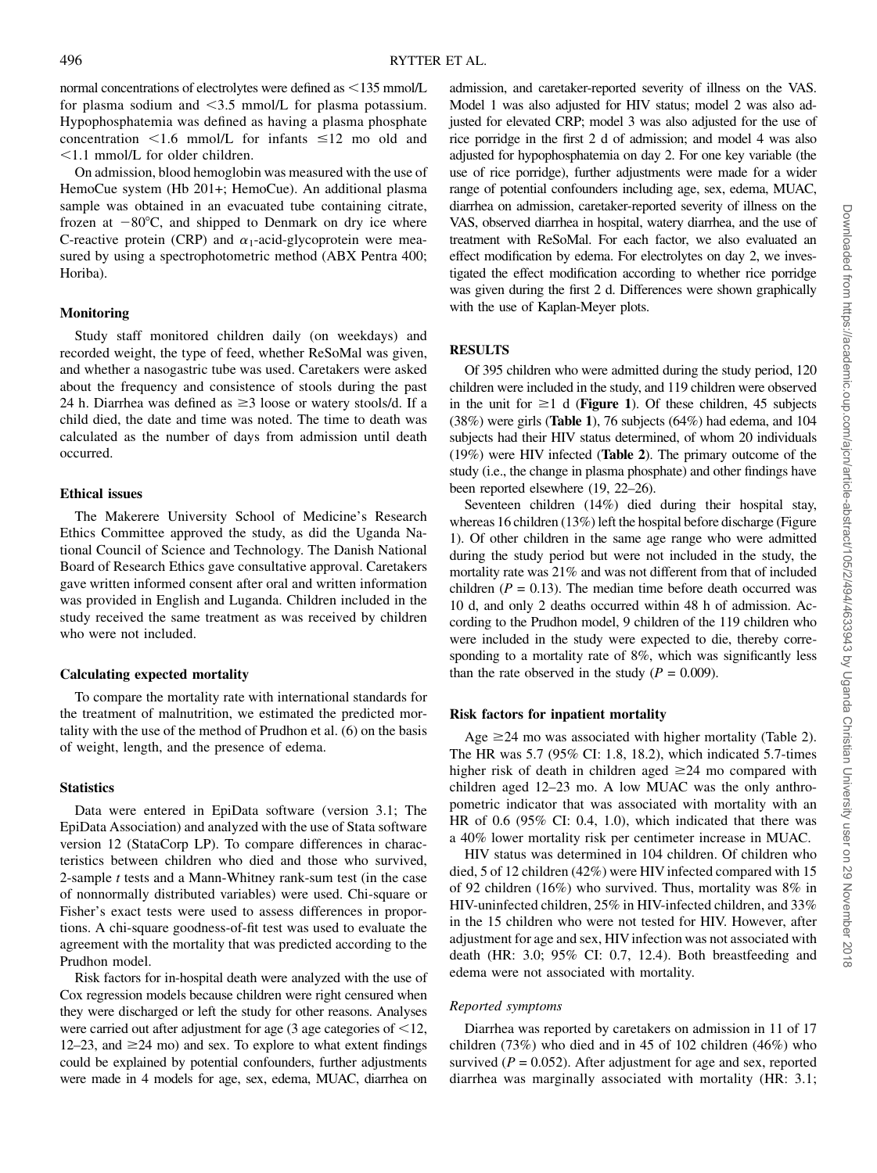normal concentrations of electrolytes were defined as  $\leq$ 135 mmol/L for plasma sodium and  $\leq$ 3.5 mmol/L for plasma potassium. Hypophosphatemia was defined as having a plasma phosphate concentration  $\leq 1.6$  mmol/L for infants  $\leq 12$  mo old and  $\leq$ 1.1 mmol/L for older children.

On admission, blood hemoglobin was measured with the use of HemoCue system (Hb 201+; HemoCue). An additional plasma sample was obtained in an evacuated tube containing citrate, frozen at  $-80^{\circ}$ C, and shipped to Denmark on dry ice where C-reactive protein (CRP) and  $\alpha_1$ -acid-glycoprotein were measured by using a spectrophotometric method (ABX Pentra 400; Horiba).

## Monitoring

Study staff monitored children daily (on weekdays) and recorded weight, the type of feed, whether ReSoMal was given, and whether a nasogastric tube was used. Caretakers were asked about the frequency and consistence of stools during the past 24 h. Diarrhea was defined as  $\geq$ 3 loose or watery stools/d. If a child died, the date and time was noted. The time to death was calculated as the number of days from admission until death occurred.

# Ethical issues

The Makerere University School of Medicine's Research Ethics Committee approved the study, as did the Uganda National Council of Science and Technology. The Danish National Board of Research Ethics gave consultative approval. Caretakers gave written informed consent after oral and written information was provided in English and Luganda. Children included in the study received the same treatment as was received by children who were not included.

## Calculating expected mortality

To compare the mortality rate with international standards for the treatment of malnutrition, we estimated the predicted mortality with the use of the method of Prudhon et al. (6) on the basis of weight, length, and the presence of edema.

# **Statistics**

Data were entered in EpiData software (version 3.1; The EpiData Association) and analyzed with the use of Stata software version 12 (StataCorp LP). To compare differences in characteristics between children who died and those who survived, 2-sample  $t$  tests and a Mann-Whitney rank-sum test (in the case of nonnormally distributed variables) were used. Chi-square or Fisher's exact tests were used to assess differences in proportions. A chi-square goodness-of-fit test was used to evaluate the agreement with the mortality that was predicted according to the Prudhon model.

Risk factors for in-hospital death were analyzed with the use of Cox regression models because children were right censured when they were discharged or left the study for other reasons. Analyses were carried out after adjustment for age (3 age categories of  $<$  12, 12–23, and  $\geq$ 24 mo) and sex. To explore to what extent findings could be explained by potential confounders, further adjustments were made in 4 models for age, sex, edema, MUAC, diarrhea on

admission, and caretaker-reported severity of illness on the VAS. Model 1 was also adjusted for HIV status; model 2 was also adjusted for elevated CRP; model 3 was also adjusted for the use of rice porridge in the first 2 d of admission; and model 4 was also adjusted for hypophosphatemia on day 2. For one key variable (the use of rice porridge), further adjustments were made for a wider range of potential confounders including age, sex, edema, MUAC, diarrhea on admission, caretaker-reported severity of illness on the VAS, observed diarrhea in hospital, watery diarrhea, and the use of treatment with ReSoMal. For each factor, we also evaluated an effect modification by edema. For electrolytes on day 2, we investigated the effect modification according to whether rice porridge was given during the first 2 d. Differences were shown graphically with the use of Kaplan-Meyer plots.

# **RESULTS**

Of 395 children who were admitted during the study period, 120 children were included in the study, and 119 children were observed in the unit for  $\geq 1$  d (**Figure 1**). Of these children, 45 subjects (38%) were girls (Table 1), 76 subjects (64%) had edema, and 104 subjects had their HIV status determined, of whom 20 individuals (19%) were HIV infected (Table 2). The primary outcome of the study (i.e., the change in plasma phosphate) and other findings have been reported elsewhere (19, 22–26).

Seventeen children (14%) died during their hospital stay, whereas 16 children (13%) left the hospital before discharge (Figure 1). Of other children in the same age range who were admitted during the study period but were not included in the study, the mortality rate was 21% and was not different from that of included children ( $P = 0.13$ ). The median time before death occurred was 10 d, and only 2 deaths occurred within 48 h of admission. According to the Prudhon model, 9 children of the 119 children who were included in the study were expected to die, thereby corresponding to a mortality rate of 8%, which was significantly less than the rate observed in the study  $(P = 0.009)$ .

## Risk factors for inpatient mortality

Age  $\geq$  24 mo was associated with higher mortality (Table 2). The HR was 5.7 (95% CI: 1.8, 18.2), which indicated 5.7-times higher risk of death in children aged  $\geq 24$  mo compared with children aged 12–23 mo. A low MUAC was the only anthropometric indicator that was associated with mortality with an HR of 0.6 (95% CI: 0.4, 1.0), which indicated that there was a 40% lower mortality risk per centimeter increase in MUAC.

HIV status was determined in 104 children. Of children who died, 5 of 12 children (42%) were HIV infected compared with 15 of 92 children (16%) who survived. Thus, mortality was 8% in HIV-uninfected children, 25% in HIV-infected children, and 33% in the 15 children who were not tested for HIV. However, after adjustment for age and sex, HIVinfection was not associated with death (HR: 3.0; 95% CI: 0.7, 12.4). Both breastfeeding and edema were not associated with mortality.

## Reported symptoms

Diarrhea was reported by caretakers on admission in 11 of 17 children (73%) who died and in 45 of 102 children (46%) who survived ( $P = 0.052$ ). After adjustment for age and sex, reported diarrhea was marginally associated with mortality (HR: 3.1;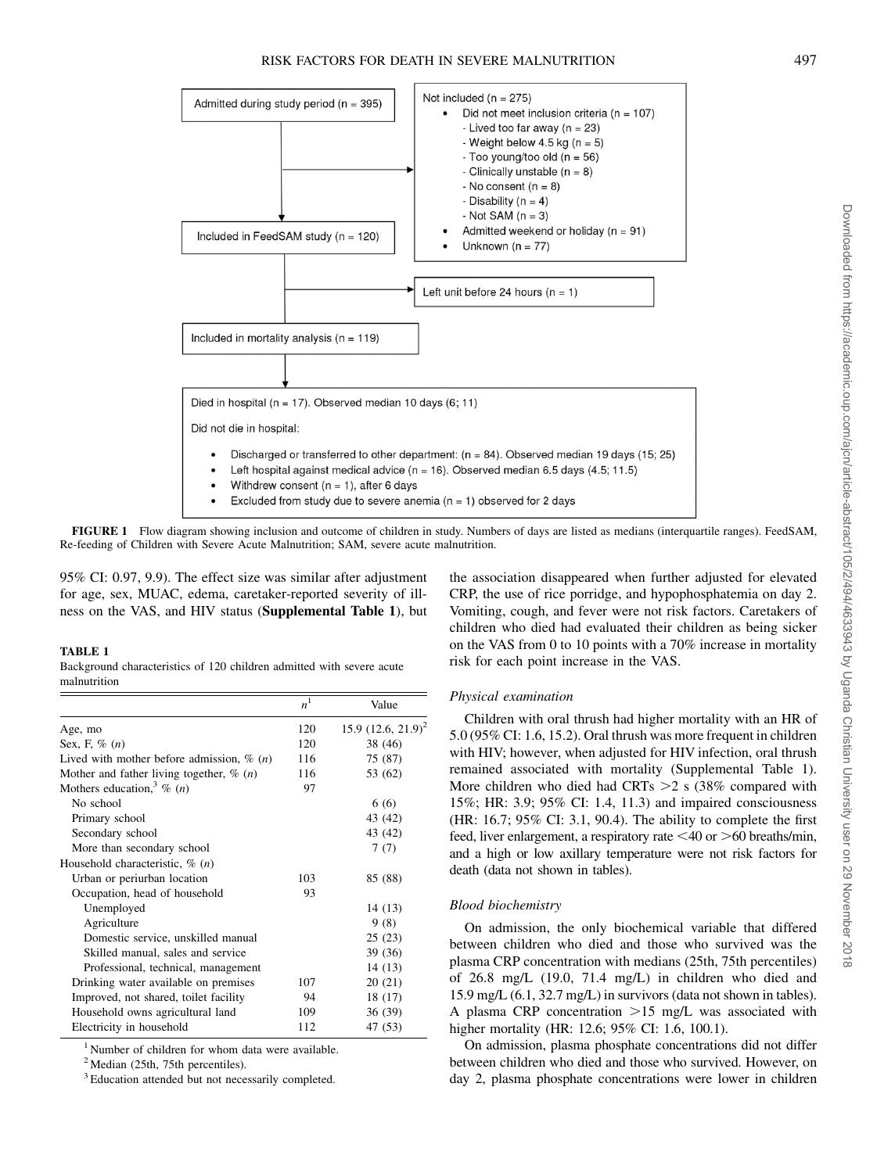

FIGURE 1 Flow diagram showing inclusion and outcome of children in study. Numbers of days are listed as medians (interquartile ranges). FeedSAM, Re-feeding of Children with Severe Acute Malnutrition; SAM, severe acute malnutrition.

95% CI: 0.97, 9.9). The effect size was similar after adjustment for age, sex, MUAC, edema, caretaker-reported severity of illness on the VAS, and HIV status (Supplemental Table 1), but

## TABLE 1

Background characteristics of 120 children admitted with severe acute malnutrition

|                                                       | n <sup>1</sup> | Value                 |
|-------------------------------------------------------|----------------|-----------------------|
| Age, mo                                               | 120            | 15.9 $(12.6, 21.9)^2$ |
| Sex, F, $\%$ $(n)$                                    | 120            | 38 (46)               |
| Lived with mother before admission, $\%$ ( <i>n</i> ) | 116            | 75 (87)               |
| Mother and father living together, $\%$ ( <i>n</i> )  | 116            | 53 (62)               |
| Mothers education, $\frac{3}{6}$ ( <i>n</i> )         | 97             |                       |
| No school                                             |                | 6(6)                  |
| Primary school                                        |                | 43 (42)               |
| Secondary school                                      |                | 43 (42)               |
| More than secondary school                            |                | 7(7)                  |
| Household characteristic, $\%$ ( <i>n</i> )           |                |                       |
| Urban or periurban location                           | 103            | 85 (88)               |
| Occupation, head of household                         | 93             |                       |
| Unemployed                                            |                | 14 (13)               |
| Agriculture                                           |                | 9(8)                  |
| Domestic service, unskilled manual                    |                | 25(23)                |
| Skilled manual, sales and service                     |                | 39 (36)               |
| Professional, technical, management                   |                | 14(13)                |
| Drinking water available on premises                  | 107            | 20 (21)               |
| Improved, not shared, toilet facility                 | 94             | 18 (17)               |
| Household owns agricultural land                      | 109            | 36 (39)               |
| Electricity in household                              | 112            | 47 (53)               |

<sup>1</sup> Number of children for whom data were available.

 $<sup>2</sup>$  Median (25th, 75th percentiles).</sup>

<sup>3</sup> Education attended but not necessarily completed.

the association disappeared when further adjusted for elevated CRP, the use of rice porridge, and hypophosphatemia on day 2. Vomiting, cough, and fever were not risk factors. Caretakers of children who died had evaluated their children as being sicker on the VAS from 0 to 10 points with a 70% increase in mortality risk for each point increase in the VAS.

#### Physical examination

Children with oral thrush had higher mortality with an HR of 5.0 (95% CI: 1.6, 15.2). Oral thrush was more frequent in children with HIV; however, when adjusted for HIV infection, oral thrush remained associated with mortality (Supplemental Table 1). More children who died had CRTs  $>2$  s (38% compared with 15%; HR: 3.9; 95% CI: 1.4, 11.3) and impaired consciousness (HR: 16.7; 95% CI: 3.1, 90.4). The ability to complete the first feed, liver enlargement, a respiratory rate  $\leq 40$  or  $\geq 60$  breaths/min, and a high or low axillary temperature were not risk factors for death (data not shown in tables).

#### Blood biochemistry

On admission, the only biochemical variable that differed between children who died and those who survived was the plasma CRP concentration with medians (25th, 75th percentiles) of 26.8 mg/L (19.0, 71.4 mg/L) in children who died and 15.9 mg/L (6.1, 32.7 mg/L) in survivors (data not shown in tables). A plasma CRP concentration  $>15$  mg/L was associated with higher mortality (HR: 12.6; 95% CI: 1.6, 100.1).

On admission, plasma phosphate concentrations did not differ between children who died and those who survived. However, on day 2, plasma phosphate concentrations were lower in children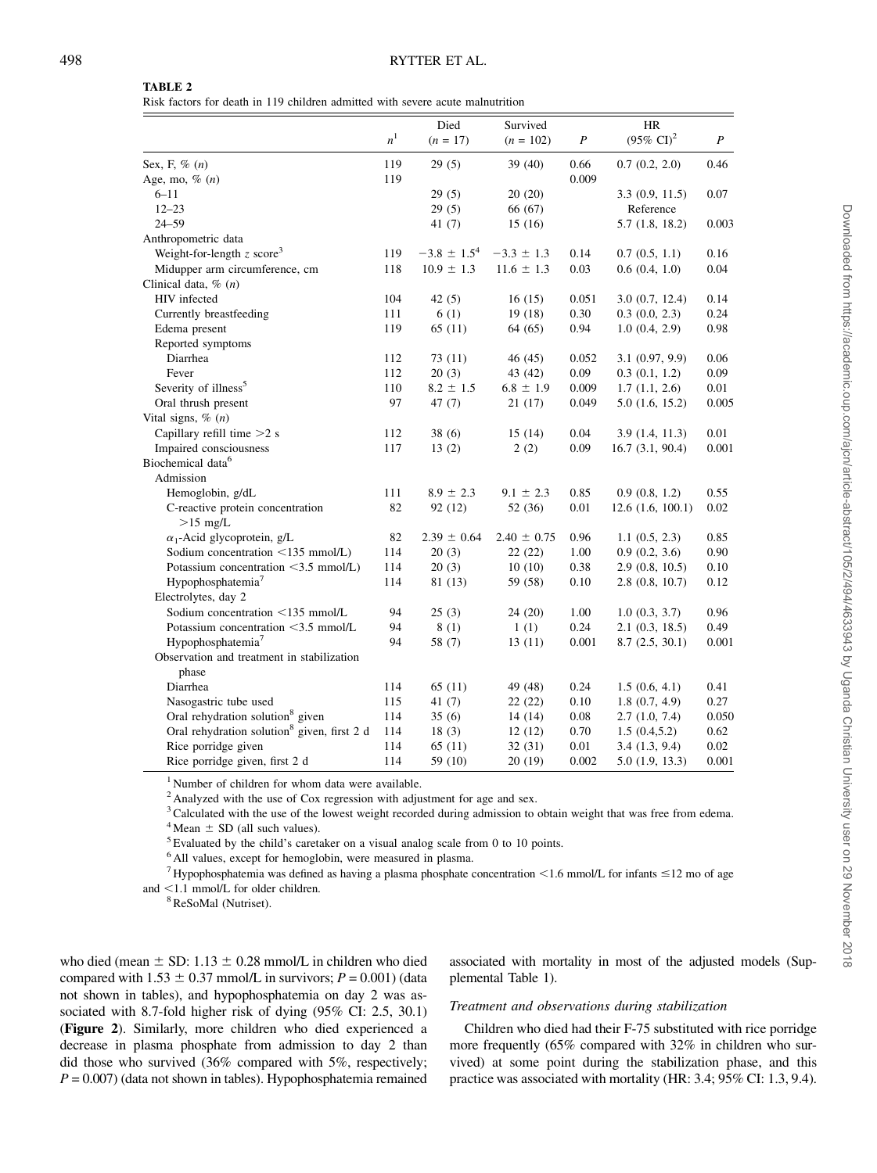|  |  | TABLE 2 |  |  |  |
|--|--|---------|--|--|--|
|--|--|---------|--|--|--|

Risk factors for death in 119 children admitted with severe acute malnutrition

|                                                         |                | Died             | Survived        |       | HR                    |       |
|---------------------------------------------------------|----------------|------------------|-----------------|-------|-----------------------|-------|
|                                                         | n <sup>1</sup> | $(n = 17)$       | $(n = 102)$     | P     | $(95\% \text{ CI})^2$ | P     |
| Sex, F, $\%$ $(n)$                                      | 119            | 29(5)            | 39(40)          | 0.66  | 0.7(0.2, 2.0)         | 0.46  |
| Age, mo, $\%$ (n)                                       | 119            |                  |                 | 0.009 |                       |       |
| $6 - 11$                                                |                | 29(5)            | 20(20)          |       | 3.3(0.9, 11.5)        | 0.07  |
| $12 - 23$                                               |                | 29(5)            | 66 (67)         |       | Reference             |       |
| $24 - 59$                                               |                | 41 $(7)$         | 15(16)          |       | 5.7(1.8, 18.2)        | 0.003 |
| Anthropometric data                                     |                |                  |                 |       |                       |       |
| Weight-for-length $z$ score <sup>3</sup>                | 119            | $-3.8 \pm 1.5^4$ | $-3.3 \pm 1.3$  | 0.14  | 0.7(0.5, 1.1)         | 0.16  |
| Midupper arm circumference, cm                          | 118            | $10.9 \pm 1.3$   | $11.6 \pm 1.3$  | 0.03  | 0.6(0.4, 1.0)         | 0.04  |
| Clinical data, $\%$ (n)                                 |                |                  |                 |       |                       |       |
| HIV infected                                            | 104            | 42(5)            | 16(15)          | 0.051 | 3.0(0.7, 12.4)        | 0.14  |
| Currently breastfeeding                                 | 111            | 6(1)             | 19(18)          | 0.30  | 0.3(0.0, 2.3)         | 0.24  |
| Edema present                                           | 119            | 65(11)           | 64 (65)         | 0.94  | 1.0(0.4, 2.9)         | 0.98  |
| Reported symptoms                                       |                |                  |                 |       |                       |       |
| Diarrhea                                                | 112            | 73(11)           | 46 (45)         | 0.052 | 3.1(0.97, 9.9)        | 0.06  |
| Fever                                                   | 112            | 20(3)            | 43 (42)         | 0.09  | 0.3(0.1, 1.2)         | 0.09  |
| Severity of illness <sup>5</sup>                        | 110            | $8.2 \pm 1.5$    | $6.8 \pm 1.9$   | 0.009 | 1.7(1.1, 2.6)         | 0.01  |
| Oral thrush present                                     | 97             | 47(7)            | 21(17)          | 0.049 | 5.0(1.6, 15.2)        | 0.005 |
| Vital signs, $\%$ (n)                                   |                |                  |                 |       |                       |       |
| Capillary refill time $>2$ s                            | 112            | 38(6)            | 15(14)          | 0.04  | 3.9 (1.4, 11.3)       | 0.01  |
| Impaired consciousness                                  | 117            | 13(2)            | 2(2)            | 0.09  | 16.7(3.1, 90.4)       | 0.001 |
| Biochemical data <sup>6</sup>                           |                |                  |                 |       |                       |       |
| Admission                                               |                |                  |                 |       |                       |       |
| Hemoglobin, g/dL                                        | 111            | $8.9 \pm 2.3$    | $9.1 \pm 2.3$   | 0.85  | 0.9(0.8, 1.2)         | 0.55  |
| C-reactive protein concentration                        | 82             | 92 (12)          | 52 (36)         | 0.01  | 12.6(1.6, 100.1)      | 0.02  |
| $>15$ mg/L                                              |                |                  |                 |       |                       |       |
| $\alpha_1$ -Acid glycoprotein, g/L                      | 82             | $2.39 \pm 0.64$  | $2.40 \pm 0.75$ | 0.96  | 1.1(0.5, 2.3)         | 0.85  |
| Sodium concentration $\langle 135 \text{ mmol/L}}$ )    | 114            | 20(3)            | 22(22)          | 1.00  | 0.9(0.2, 3.6)         | 0.90  |
| Potassium concentration $\leq$ 3.5 mmol/L)              | 114            | 20(3)            | 10(10)          | 0.38  | 2.9(0.8, 10.5)        | 0.10  |
| Hypophosphatemia <sup>7</sup>                           | 114            | 81 (13)          | 59 (58)         | 0.10  | 2.8(0.8, 10.7)        | 0.12  |
| Electrolytes, day 2                                     |                |                  |                 |       |                       |       |
| Sodium concentration <135 mmol/L                        | 94             | 25(3)            | 24(20)          | 1.00  | 1.0(0.3, 3.7)         | 0.96  |
| Potassium concentration <3.5 mmol/L                     | 94             | 8(1)             | 1(1)            | 0.24  | 2.1(0.3, 18.5)        | 0.49  |
| Hypophosphatemia <sup>7</sup>                           | 94             | 58 (7)           | 13(11)          | 0.001 | 8.7(2.5, 30.1)        | 0.001 |
| Observation and treatment in stabilization<br>phase     |                |                  |                 |       |                       |       |
| Diarrhea                                                | 114            | 65(11)           | 49 (48)         | 0.24  | 1.5(0.6, 4.1)         | 0.41  |
| Nasogastric tube used                                   | 115            | 41 $(7)$         | 22(22)          | 0.10  | 1.8(0.7, 4.9)         | 0.27  |
| Oral rehydration solution <sup>8</sup> given            | 114            | 35(6)            | 14(14)          | 0.08  | 2.7(1.0, 7.4)         | 0.050 |
| Oral rehydration solution <sup>8</sup> given, first 2 d | 114            | 18(3)            | 12(12)          | 0.70  | 1.5(0.4, 5.2)         | 0.62  |
| Rice porridge given                                     | 114            | 65(11)           | 32(31)          | 0.01  | 3.4(1.3, 9.4)         | 0.02  |
| Rice porridge given, first 2 d                          | 114            | 59 (10)          | 20(19)          | 0.002 | 5.0 (1.9, 13.3)       | 0.001 |
|                                                         |                |                  |                 |       |                       |       |

<sup>1</sup> Number of children for whom data were available.

 $2$  Analyzed with the use of Cox regression with adjustment for age and sex.

<sup>3</sup>Calculated with the use of the lowest weight recorded during admission to obtain weight that was free from edema.<br><sup>4</sup>Mean  $\pm$  SD (all such values).

 $5$  Evaluated by the child's caretaker on a visual analog scale from 0 to 10 points.

<sup>6</sup> All values, except for hemoglobin, were measured in plasma.

<sup>7</sup> Hypophosphatemia was defined as having a plasma phosphate concentration <1.6 mmol/L for infants  $\leq$ 12 mo of age

and  $\leq$ 1.1 mmol/L for older children.

<sup>8</sup>ReSoMal (Nutriset).

who died (mean  $\pm$  SD: 1.13  $\pm$  0.28 mmol/L in children who died compared with  $1.53 \pm 0.37$  mmol/L in survivors;  $P = 0.001$ ) (data not shown in tables), and hypophosphatemia on day 2 was associated with 8.7-fold higher risk of dying (95% CI: 2.5, 30.1) (Figure 2). Similarly, more children who died experienced a decrease in plasma phosphate from admission to day 2 than did those who survived (36% compared with 5%, respectively;  $P = 0.007$ ) (data not shown in tables). Hypophosphatemia remained associated with mortality in most of the adjusted models (Supplemental Table 1).

# Treatment and observations during stabilization

Children who died had their F-75 substituted with rice porridge more frequently (65% compared with 32% in children who survived) at some point during the stabilization phase, and this practice was associated with mortality (HR: 3.4; 95% CI: 1.3, 9.4).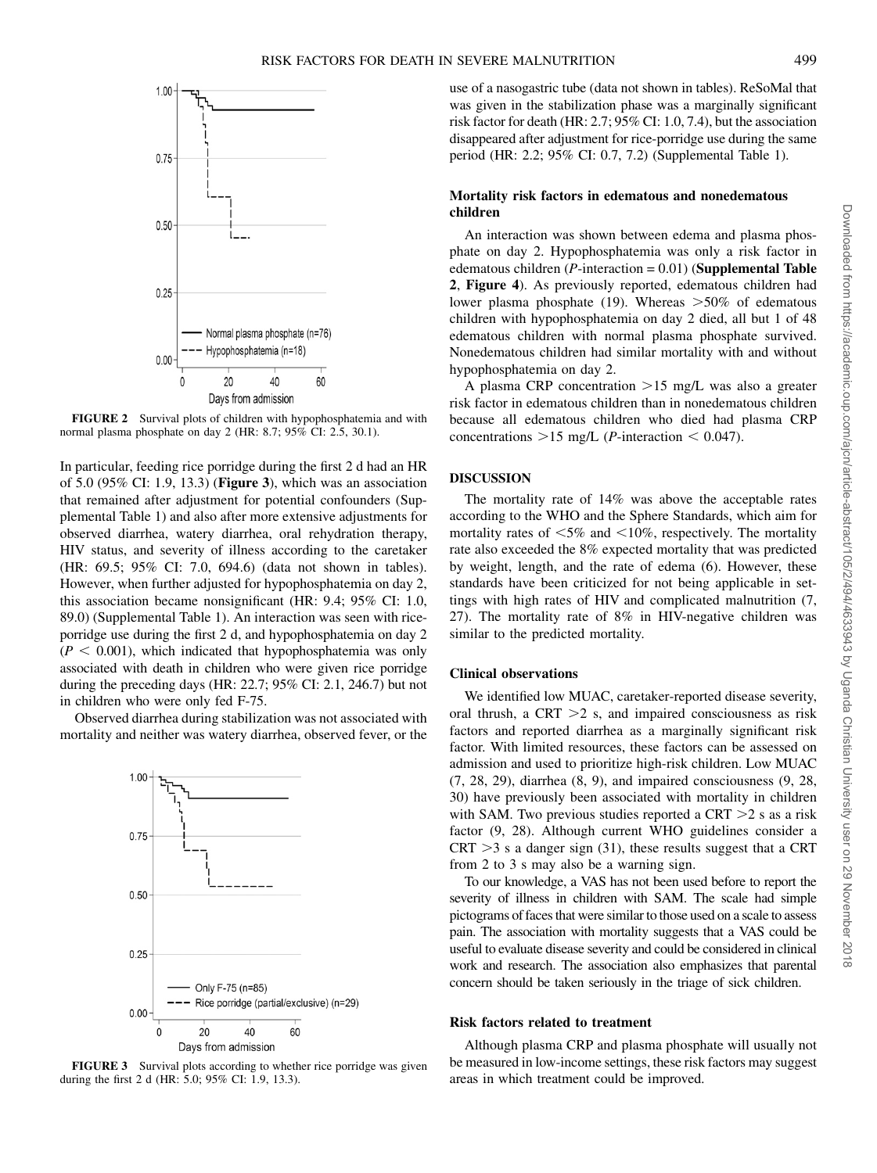

FIGURE 2 Survival plots of children with hypophosphatemia and with normal plasma phosphate on day 2 (HR: 8.7; 95% CI: 2.5, 30.1).

In particular, feeding rice porridge during the first 2 d had an HR of 5.0 (95% CI: 1.9, 13.3) (Figure 3), which was an association that remained after adjustment for potential confounders (Supplemental Table 1) and also after more extensive adjustments for observed diarrhea, watery diarrhea, oral rehydration therapy, HIV status, and severity of illness according to the caretaker (HR: 69.5; 95% CI: 7.0, 694.6) (data not shown in tables). However, when further adjusted for hypophosphatemia on day 2, this association became nonsignificant (HR: 9.4; 95% CI: 1.0, 89.0) (Supplemental Table 1). An interaction was seen with riceporridge use during the first 2 d, and hypophosphatemia on day 2  $(P < 0.001)$ , which indicated that hypophosphatemia was only associated with death in children who were given rice porridge during the preceding days (HR: 22.7; 95% CI: 2.1, 246.7) but not in children who were only fed F-75.

Observed diarrhea during stabilization was not associated with mortality and neither was watery diarrhea, observed fever, or the



FIGURE 3 Survival plots according to whether rice porridge was given during the first 2 d (HR: 5.0; 95% CI: 1.9, 13.3).

use of a nasogastric tube (data not shown in tables). ReSoMal that was given in the stabilization phase was a marginally significant risk factor for death (HR: 2.7; 95% CI: 1.0, 7.4), but the association disappeared after adjustment for rice-porridge use during the same period (HR: 2.2; 95% CI: 0.7, 7.2) (Supplemental Table 1).

# Mortality risk factors in edematous and nonedematous children

An interaction was shown between edema and plasma phosphate on day 2. Hypophosphatemia was only a risk factor in edematous children  $(P\text{-}interaction = 0.01)$  (Supplemental Table 2, Figure 4). As previously reported, edematous children had lower plasma phosphate (19). Whereas  $>50\%$  of edematous children with hypophosphatemia on day 2 died, all but 1 of 48 edematous children with normal plasma phosphate survived. Nonedematous children had similar mortality with and without hypophosphatemia on day 2.

A plasma CRP concentration  $>15$  mg/L was also a greater risk factor in edematous children than in nonedematous children because all edematous children who died had plasma CRP concentrations  $>15$  mg/L (*P*-interaction  $< 0.047$ ).

# DISCUSSION

The mortality rate of 14% was above the acceptable rates according to the WHO and the Sphere Standards, which aim for mortality rates of  $<$  5% and  $<$  10%, respectively. The mortality rate also exceeded the 8% expected mortality that was predicted by weight, length, and the rate of edema (6). However, these standards have been criticized for not being applicable in settings with high rates of HIV and complicated malnutrition (7, 27). The mortality rate of 8% in HIV-negative children was similar to the predicted mortality.

# Clinical observations

We identified low MUAC, caretaker-reported disease severity, oral thrush, a CRT  $>2$  s, and impaired consciousness as risk factors and reported diarrhea as a marginally significant risk factor. With limited resources, these factors can be assessed on admission and used to prioritize high-risk children. Low MUAC (7, 28, 29), diarrhea (8, 9), and impaired consciousness (9, 28, 30) have previously been associated with mortality in children with SAM. Two previous studies reported a CRT  $>$ 2 s as a risk factor (9, 28). Although current WHO guidelines consider a  $CRT > 3$  s a danger sign (31), these results suggest that a CRT from 2 to 3 s may also be a warning sign.

To our knowledge, a VAS has not been used before to report the severity of illness in children with SAM. The scale had simple pictograms of faces that were similar to those used on a scale to assess pain. The association with mortality suggests that a VAS could be useful to evaluate disease severity and could be considered in clinical work and research. The association also emphasizes that parental concern should be taken seriously in the triage of sick children.

#### Risk factors related to treatment

Although plasma CRP and plasma phosphate will usually not be measured in low-income settings, these risk factors may suggest areas in which treatment could be improved.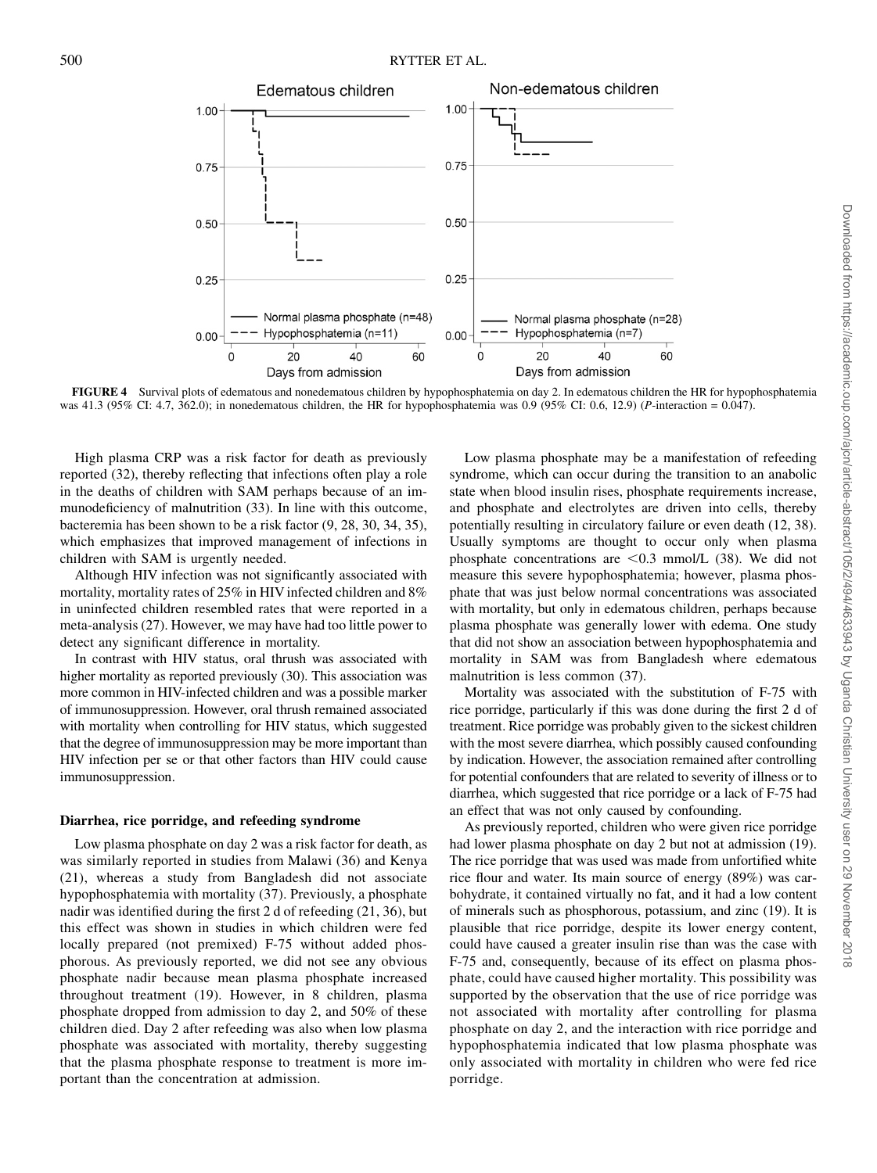

FIGURE 4 Survival plots of edematous and nonedematous children by hypophosphatemia on day 2. In edematous children the HR for hypophosphatemia was 41.3 (95% CI: 4.7, 362.0); in nonedematous children, the HR for hypophosphatemia was 0.9 (95% CI: 0.6, 12.9) (P-interaction = 0.047).

High plasma CRP was a risk factor for death as previously reported (32), thereby reflecting that infections often play a role in the deaths of children with SAM perhaps because of an immunodeficiency of malnutrition (33). In line with this outcome, bacteremia has been shown to be a risk factor (9, 28, 30, 34, 35), which emphasizes that improved management of infections in children with SAM is urgently needed.

Although HIV infection was not significantly associated with mortality, mortality rates of 25% in HIV infected children and 8% in uninfected children resembled rates that were reported in a meta-analysis (27). However, we may have had too little power to detect any significant difference in mortality.

In contrast with HIV status, oral thrush was associated with higher mortality as reported previously (30). This association was more common in HIV-infected children and was a possible marker of immunosuppression. However, oral thrush remained associated with mortality when controlling for HIV status, which suggested that the degree of immunosuppression may be more important than HIV infection per se or that other factors than HIV could cause immunosuppression.

## Diarrhea, rice porridge, and refeeding syndrome

Low plasma phosphate on day 2 was a risk factor for death, as was similarly reported in studies from Malawi (36) and Kenya (21), whereas a study from Bangladesh did not associate hypophosphatemia with mortality (37). Previously, a phosphate nadir was identified during the first 2 d of refeeding (21, 36), but this effect was shown in studies in which children were fed locally prepared (not premixed) F-75 without added phosphorous. As previously reported, we did not see any obvious phosphate nadir because mean plasma phosphate increased throughout treatment (19). However, in 8 children, plasma phosphate dropped from admission to day 2, and 50% of these children died. Day 2 after refeeding was also when low plasma phosphate was associated with mortality, thereby suggesting that the plasma phosphate response to treatment is more important than the concentration at admission.

Low plasma phosphate may be a manifestation of refeeding syndrome, which can occur during the transition to an anabolic state when blood insulin rises, phosphate requirements increase, and phosphate and electrolytes are driven into cells, thereby potentially resulting in circulatory failure or even death (12, 38). Usually symptoms are thought to occur only when plasma phosphate concentrations are  $\leq 0.3$  mmol/L (38). We did not measure this severe hypophosphatemia; however, plasma phosphate that was just below normal concentrations was associated with mortality, but only in edematous children, perhaps because plasma phosphate was generally lower with edema. One study that did not show an association between hypophosphatemia and mortality in SAM was from Bangladesh where edematous malnutrition is less common (37).

Mortality was associated with the substitution of F-75 with rice porridge, particularly if this was done during the first 2 d of treatment. Rice porridge was probably given to the sickest children with the most severe diarrhea, which possibly caused confounding by indication. However, the association remained after controlling for potential confounders that are related to severity of illness or to diarrhea, which suggested that rice porridge or a lack of F-75 had an effect that was not only caused by confounding.

As previously reported, children who were given rice porridge had lower plasma phosphate on day 2 but not at admission (19). The rice porridge that was used was made from unfortified white rice flour and water. Its main source of energy (89%) was carbohydrate, it contained virtually no fat, and it had a low content of minerals such as phosphorous, potassium, and zinc (19). It is plausible that rice porridge, despite its lower energy content, could have caused a greater insulin rise than was the case with F-75 and, consequently, because of its effect on plasma phosphate, could have caused higher mortality. This possibility was supported by the observation that the use of rice porridge was not associated with mortality after controlling for plasma phosphate on day 2, and the interaction with rice porridge and hypophosphatemia indicated that low plasma phosphate was only associated with mortality in children who were fed rice porridge.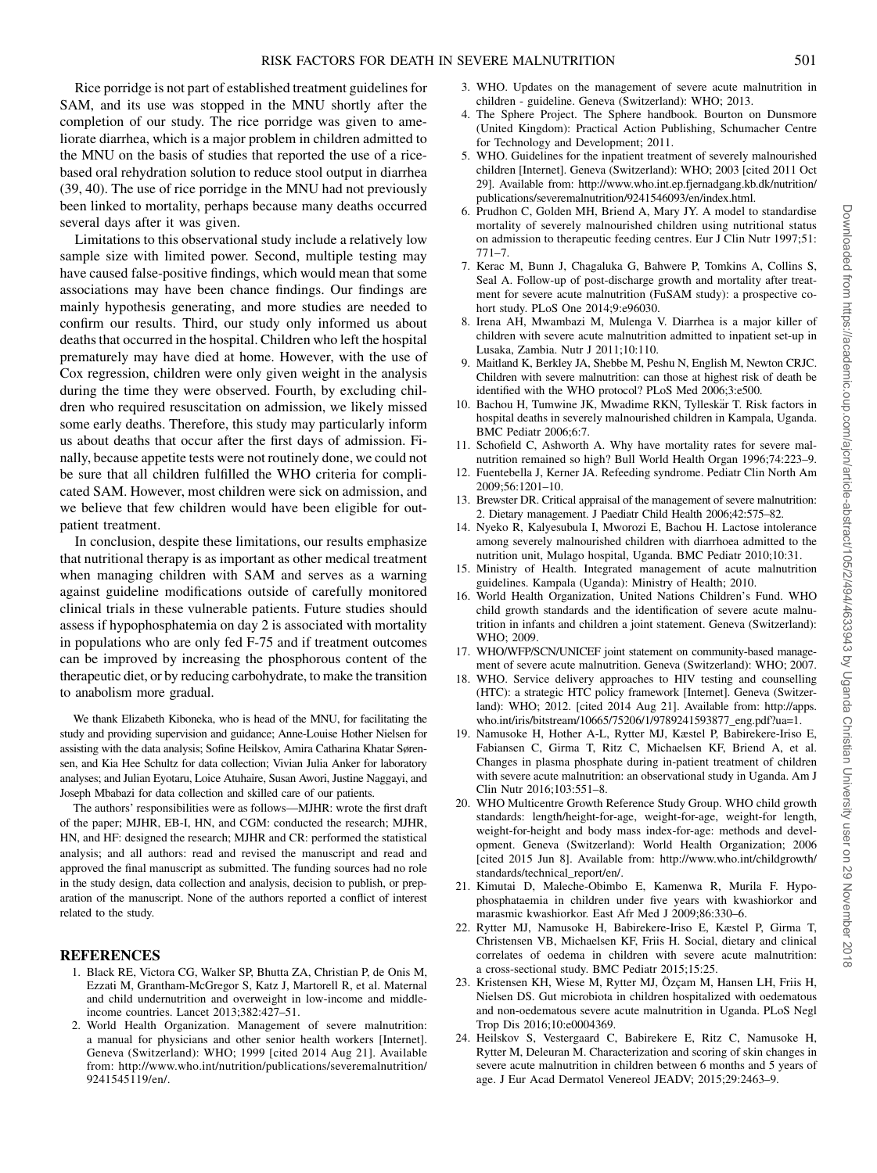Rice porridge is not part of established treatment guidelines for SAM, and its use was stopped in the MNU shortly after the completion of our study. The rice porridge was given to ameliorate diarrhea, which is a major problem in children admitted to the MNU on the basis of studies that reported the use of a ricebased oral rehydration solution to reduce stool output in diarrhea (39, 40). The use of rice porridge in the MNU had not previously been linked to mortality, perhaps because many deaths occurred several days after it was given.

Limitations to this observational study include a relatively low sample size with limited power. Second, multiple testing may have caused false-positive findings, which would mean that some associations may have been chance findings. Our findings are mainly hypothesis generating, and more studies are needed to confirm our results. Third, our study only informed us about deaths that occurred in the hospital. Children who left the hospital prematurely may have died at home. However, with the use of Cox regression, children were only given weight in the analysis during the time they were observed. Fourth, by excluding children who required resuscitation on admission, we likely missed some early deaths. Therefore, this study may particularly inform us about deaths that occur after the first days of admission. Finally, because appetite tests were not routinely done, we could not be sure that all children fulfilled the WHO criteria for complicated SAM. However, most children were sick on admission, and we believe that few children would have been eligible for outpatient treatment.

In conclusion, despite these limitations, our results emphasize that nutritional therapy is as important as other medical treatment when managing children with SAM and serves as a warning against guideline modifications outside of carefully monitored clinical trials in these vulnerable patients. Future studies should assess if hypophosphatemia on day 2 is associated with mortality in populations who are only fed F-75 and if treatment outcomes can be improved by increasing the phosphorous content of the therapeutic diet, or by reducing carbohydrate, to make the transition to anabolism more gradual.

We thank Elizabeth Kiboneka, who is head of the MNU, for facilitating the study and providing supervision and guidance; Anne-Louise Hother Nielsen for assisting with the data analysis; Sofine Heilskov, Amira Catharina Khatar Sørensen, and Kia Hee Schultz for data collection; Vivian Julia Anker for laboratory analyses; and Julian Eyotaru, Loice Atuhaire, Susan Awori, Justine Naggayi, and Joseph Mbabazi for data collection and skilled care of our patients.

The authors' responsibilities were as follows—MJHR: wrote the first draft of the paper; MJHR, EB-I, HN, and CGM: conducted the research; MJHR, HN, and HF: designed the research; MJHR and CR: performed the statistical analysis; and all authors: read and revised the manuscript and read and approved the final manuscript as submitted. The funding sources had no role in the study design, data collection and analysis, decision to publish, or preparation of the manuscript. None of the authors reported a conflict of interest related to the study.

#### REFERENCES

- 1. Black RE, Victora CG, Walker SP, Bhutta ZA, Christian P, de Onis M, Ezzati M, Grantham-McGregor S, Katz J, Martorell R, et al. Maternal and child undernutrition and overweight in low-income and middleincome countries. Lancet 2013;382:427–51.
- 2. World Health Organization. Management of severe malnutrition: a manual for physicians and other senior health workers [Internet]. Geneva (Switzerland): WHO; 1999 [cited 2014 Aug 21]. Available from: [http://www.who.int/nutrition/publications/severemalnutrition/](http://www.who.int/nutrition/publications/severemalnutrition/9241545119/en/.) [9241545119/en/.](http://www.who.int/nutrition/publications/severemalnutrition/9241545119/en/.)
- 3. WHO. Updates on the management of severe acute malnutrition in children - guideline. Geneva (Switzerland): WHO; 2013.
- 4. The Sphere Project. The Sphere handbook. Bourton on Dunsmore (United Kingdom): Practical Action Publishing, Schumacher Centre for Technology and Development; 2011.
- 5. WHO. Guidelines for the inpatient treatment of severely malnourished children [Internet]. Geneva (Switzerland): WHO; 2003 [cited 2011 Oct 29]. Available from: [http://www.who.int.ep.fjernadgang.kb.dk/nutrition/](http://www.who.int.ep.fjernadgang.kb.dk/nutrition/publications/severemalnutrition/9241546093/en/index.html.) [publications/severemalnutrition/9241546093/en/index.html.](http://www.who.int.ep.fjernadgang.kb.dk/nutrition/publications/severemalnutrition/9241546093/en/index.html.)
- 6. Prudhon C, Golden MH, Briend A, Mary JY. A model to standardise mortality of severely malnourished children using nutritional status on admission to therapeutic feeding centres. Eur J Clin Nutr 1997;51: 771–7.
- 7. Kerac M, Bunn J, Chagaluka G, Bahwere P, Tomkins A, Collins S, Seal A. Follow-up of post-discharge growth and mortality after treatment for severe acute malnutrition (FuSAM study): a prospective cohort study. PLoS One 2014;9:e96030.
- 8. Irena AH, Mwambazi M, Mulenga V. Diarrhea is a major killer of children with severe acute malnutrition admitted to inpatient set-up in Lusaka, Zambia. Nutr J 2011;10:110.
- 9. Maitland K, Berkley JA, Shebbe M, Peshu N, English M, Newton CRJC. Children with severe malnutrition: can those at highest risk of death be identified with the WHO protocol? PLoS Med 2006;3:e500.
- 10. Bachou H, Tumwine JK, Mwadime RKN, Tylleskär T. Risk factors in hospital deaths in severely malnourished children in Kampala, Uganda. BMC Pediatr 2006;6:7.
- 11. Schofield C, Ashworth A. Why have mortality rates for severe malnutrition remained so high? Bull World Health Organ 1996;74:223–9.
- 12. Fuentebella J, Kerner JA. Refeeding syndrome. Pediatr Clin North Am 2009;56:1201–10.
- 13. Brewster DR. Critical appraisal of the management of severe malnutrition: 2. Dietary management. J Paediatr Child Health 2006;42:575–82.
- 14. Nyeko R, Kalyesubula I, Mworozi E, Bachou H. Lactose intolerance among severely malnourished children with diarrhoea admitted to the nutrition unit, Mulago hospital, Uganda. BMC Pediatr 2010;10:31.
- 15. Ministry of Health. Integrated management of acute malnutrition guidelines. Kampala (Uganda): Ministry of Health; 2010.
- 16. World Health Organization, United Nations Children's Fund. WHO child growth standards and the identification of severe acute malnutrition in infants and children a joint statement. Geneva (Switzerland): WHO; 2009.
- 17. WHO/WFP/SCN/UNICEF joint statement on community-based management of severe acute malnutrition. Geneva (Switzerland): WHO; 2007.
- 18. WHO. Service delivery approaches to HIV testing and counselling (HTC): a strategic HTC policy framework [Internet]. Geneva (Switzerland): WHO; 2012. [cited 2014 Aug 21]. Available from: [http://apps.](http://apps.who.int/iris/bitstream/10665/75206/1/9789241593877_eng.pdf?ua=1.) [who.int/iris/bitstream/10665/75206/1/9789241593877\\_eng.pdf?ua=1.](http://apps.who.int/iris/bitstream/10665/75206/1/9789241593877_eng.pdf?ua=1.)
- 19. Namusoke H, Hother A-L, Rytter MJ, Kæstel P, Babirekere-Iriso E, Fabiansen C, Girma T, Ritz C, Michaelsen KF, Briend A, et al. Changes in plasma phosphate during in-patient treatment of children with severe acute malnutrition: an observational study in Uganda. Am J Clin Nutr 2016;103:551–8.
- 20. WHO Multicentre Growth Reference Study Group. WHO child growth standards: length/height-for-age, weight-for-age, weight-for length, weight-for-height and body mass index-for-age: methods and development. Geneva (Switzerland): World Health Organization; 2006 [cited 2015 Jun 8]. Available from: [http://www.who.int/childgrowth/](http://www.who.int/childgrowth/standards/technical_report/en/) [standards/technical\\_report/en/](http://www.who.int/childgrowth/standards/technical_report/en/).
- 21. Kimutai D, Maleche-Obimbo E, Kamenwa R, Murila F. Hypophosphataemia in children under five years with kwashiorkor and marasmic kwashiorkor. East Afr Med J 2009;86:330–6.
- 22. Rytter MJ, Namusoke H, Babirekere-Iriso E, Kæstel P, Girma T, Christensen VB, Michaelsen KF, Friis H. Social, dietary and clinical correlates of oedema in children with severe acute malnutrition: a cross-sectional study. BMC Pediatr 2015;15:25.
- 23. Kristensen KH, Wiese M, Rytter MJ, Özçam M, Hansen LH, Friis H, Nielsen DS. Gut microbiota in children hospitalized with oedematous and non-oedematous severe acute malnutrition in Uganda. PLoS Negl Trop Dis 2016;10:e0004369.
- 24. Heilskov S, Vestergaard C, Babirekere E, Ritz C, Namusoke H, Rytter M, Deleuran M. Characterization and scoring of skin changes in severe acute malnutrition in children between 6 months and 5 years of age. J Eur Acad Dermatol Venereol JEADV; 2015;29:2463–9.